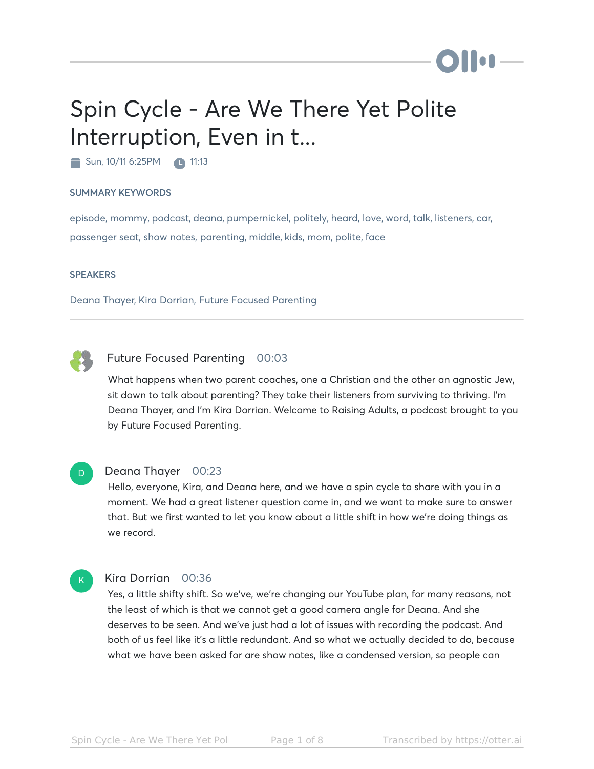# Spin Cycle - Are We There Yet Polite Interruption, Even in t...

 $\blacksquare$  Sun, 10/11 6:25PM  $\blacksquare$  11:13

#### SUMMARY KEYWORDS

episode, mommy, podcast, deana, pumpernickel, politely, heard, love, word, talk, listeners, car, passenger seat, show notes, parenting, middle, kids, mom, polite, face

#### **SPEAKERS**

Deana Thayer, Kira Dorrian, Future Focused Parenting



#### Future Focused Parenting 00:03

What happens when two parent coaches, one a Christian and the other an agnostic Jew, sit down to talk about parenting? They take their listeners from surviving to thriving. I'm Deana Thayer, and I'm Kira Dorrian. Welcome to Raising Adults, a podcast brought to you by Future Focused Parenting.



#### Deana Thayer 00:23

Hello, everyone, Kira, and Deana here, and we have a spin cycle to share with you in a moment. We had a great listener question come in, and we want to make sure to answer that. But we first wanted to let you know about a little shift in how we're doing things as we record.

#### $K$

#### Kira Dorrian 00:36

Yes, a little shifty shift. So we've, we're changing our YouTube plan, for many reasons, not the least of which is that we cannot get a good camera angle for Deana. And she deserves to be seen. And we've just had a lot of issues with recording the podcast. And both of us feel like it's a little redundant. And so what we actually decided to do, because what we have been asked for are show notes, like a condensed version, so people can

**Mon**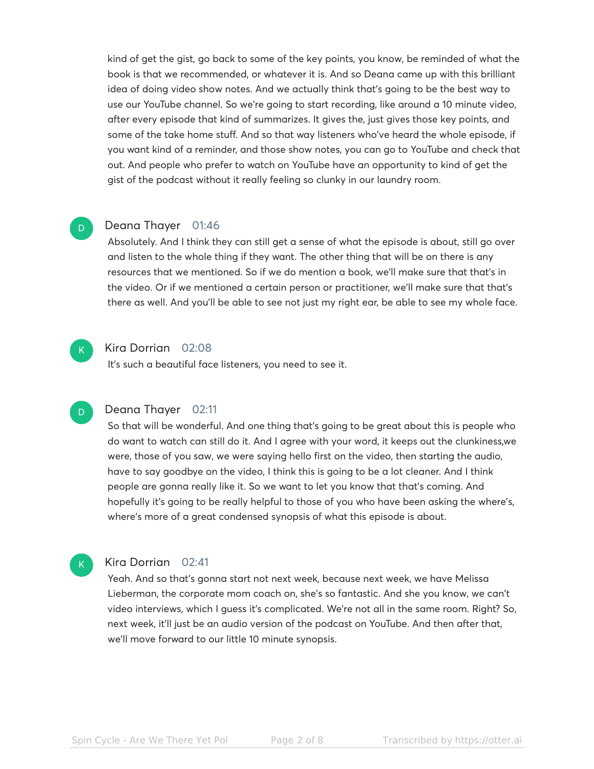kind of get the gist, go back to some of the key points, you know, be reminded of what the book is that we recommended, or whatever it is. And so Deana came up with this brilliant idea of doing video show notes. And we actually think that's going to be the best way to use our YouTube channel. So we're going to start recording, like around a 10 minute video, after every episode that kind of summarizes. It gives the, just gives those key points, and some of the take home stuff. And so that way listeners who've heard the whole episode, if you want kind of a reminder, and those show notes, you can go to YouTube and check that out. And people who prefer to watch on YouTube have an opportunity to kind of get the gist of the podcast without it really feeling so clunky in our laundry room.

### Deana Thayer 01:46

Absolutely. And I think they can still get a sense of what the episode is about, still go over and listen to the whole thing if they want. The other thing that will be on there is any resources that we mentioned. So if we do mention a book, we'll make sure that that's in the video. Or if we mentioned a certain person or practitioner, we'll make sure that that's there as well. And you'll be able to see not just my right ear, be able to see my whole face.



D

#### Kira Dorrian 02:08

It's such a beautiful face listeners, you need to see it.

#### $\overline{D}$

K

## Deana Thayer 02:11

So that will be wonderful. And one thing that's going to be great about this is people who do want to watch can still do it. And I agree with your word, it keeps out the clunkiness,we were, those of you saw, we were saying hello first on the video, then starting the audio, have to say goodbye on the video, I think this is going to be a lot cleaner. And I think people are gonna really like it. So we want to let you know that that's coming. And hopefully it's going to be really helpful to those of you who have been asking the where's, where's more of a great condensed synopsis of what this episode is about.

### Kira Dorrian 02:41

Yeah. And so that's gonna start not next week, because next week, we have Melissa Lieberman, the corporate mom coach on, she's so fantastic. And she you know, we can't video interviews, which I guess it's complicated. We're not all in the same room. Right? So, next week, it'll just be an audio version of the podcast on YouTube. And then after that, we'll move forward to our little 10 minute synopsis.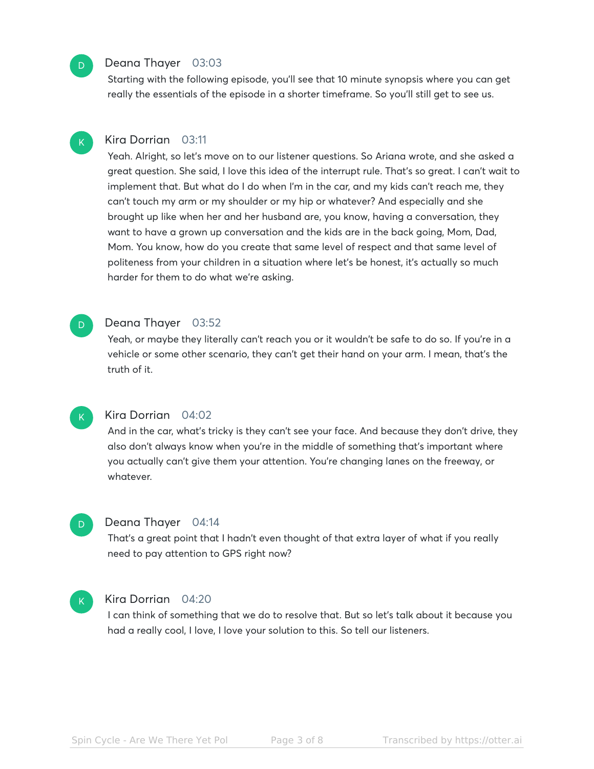#### Deana Thayer 03:03

Starting with the following episode, you'll see that 10 minute synopsis where you can get really the essentials of the episode in a shorter timeframe. So you'll still get to see us.

#### Kira Dorrian 03:11 K

Yeah. Alright, so let's move on to our listener questions. So Ariana wrote, and she asked a great question. She said, I love this idea of the interrupt rule. That's so great. I can't wait to implement that. But what do I do when I'm in the car, and my kids can't reach me, they can't touch my arm or my shoulder or my hip or whatever? And especially and she brought up like when her and her husband are, you know, having a conversation, they want to have a grown up conversation and the kids are in the back going, Mom, Dad, Mom. You know, how do you create that same level of respect and that same level of politeness from your children in a situation where let's be honest, it's actually so much harder for them to do what we're asking.

#### Deana Thayer 03:52

Yeah, or maybe they literally can't reach you or it wouldn't be safe to do so. If you're in a vehicle or some other scenario, they can't get their hand on your arm. I mean, that's the truth of it.



D

 $\overline{\mathsf{D}}$ 

## Kira Dorrian 04:02

And in the car, what's tricky is they can't see your face. And because they don't drive, they also don't always know when you're in the middle of something that's important where you actually can't give them your attention. You're changing lanes on the freeway, or whatever.

#### Deana Thayer 04:14

That's a great point that I hadn't even thought of that extra layer of what if you really need to pay attention to GPS right now?



D

#### Kira Dorrian 04:20

I can think of something that we do to resolve that. But so let's talk about it because you had a really cool, I love, I love your solution to this. So tell our listeners.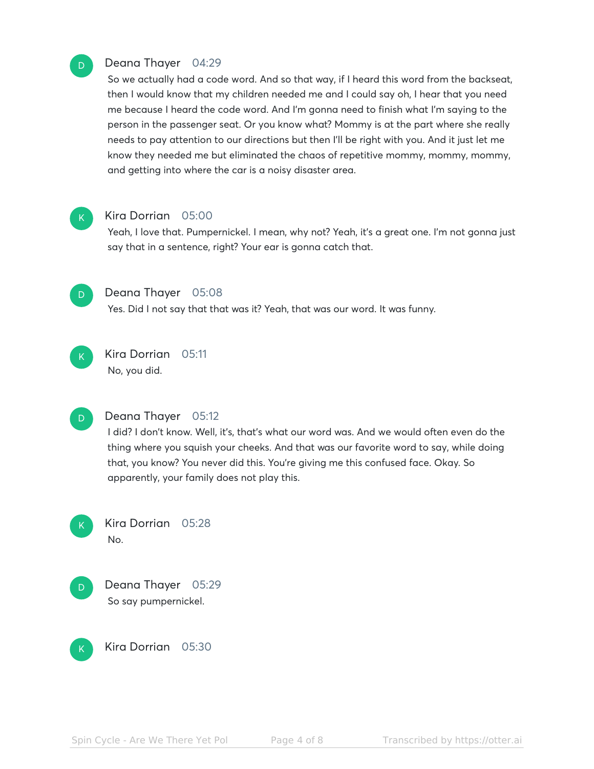## Deana Thayer 04:29

So we actually had a code word. And so that way, if I heard this word from the backseat, then I would know that my children needed me and I could say oh, I hear that you need me because I heard the code word. And I'm gonna need to finish what I'm saying to the person in the passenger seat. Or you know what? Mommy is at the part where she really needs to pay attention to our directions but then I'll be right with you. And it just let me know they needed me but eliminated the chaos of repetitive mommy, mommy, mommy, and getting into where the car is a noisy disaster area.



D

### Kira Dorrian 05:00

Yeah, I love that. Pumpernickel. I mean, why not? Yeah, it's a great one. I'm not gonna just say that in a sentence, right? Your ear is gonna catch that.



#### Deana Thayer 05:08

Yes. Did I not say that that was it? Yeah, that was our word. It was funny.



## Kira Dorrian 05:11 No, you did.



## Deana Thayer 05:12

I did? I don't know. Well, it's, that's what our word was. And we would often even do the thing where you squish your cheeks. And that was our favorite word to say, while doing that, you know? You never did this. You're giving me this confused face. Okay. So apparently, your family does not play this.



Kira Dorrian 05:28 No.



Deana Thayer 05:29 So say pumpernickel.



Kira Dorrian 05:30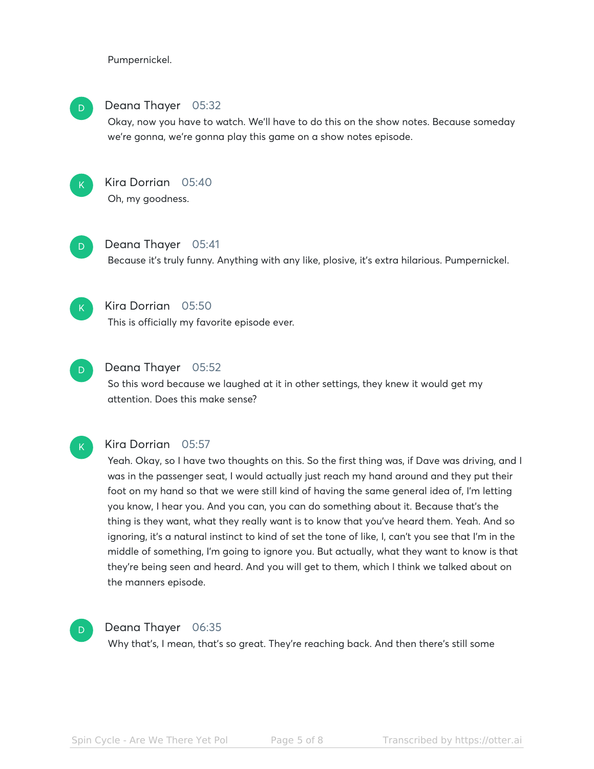Pumpernickel.

## D

## Deana Thayer 05:32

Okay, now you have to watch. We'll have to do this on the show notes. Because someday we're gonna, we're gonna play this game on a show notes episode.



## Kira Dorrian 05:40 Oh, my goodness.



## Deana Thayer 05:41

Because it's truly funny. Anything with any like, plosive, it's extra hilarious. Pumpernickel.



## Kira Dorrian 05:50

This is officially my favorite episode ever.



## Deana Thayer 05:52

So this word because we laughed at it in other settings, they knew it would get my attention. Does this make sense?



## Kira Dorrian 05:57

Yeah. Okay, so I have two thoughts on this. So the first thing was, if Dave was driving, and I was in the passenger seat, I would actually just reach my hand around and they put their foot on my hand so that we were still kind of having the same general idea of, I'm letting you know, I hear you. And you can, you can do something about it. Because that's the thing is they want, what they really want is to know that you've heard them. Yeah. And so ignoring, it's a natural instinct to kind of set the tone of like, I, can't you see that I'm in the middle of something, I'm going to ignore you. But actually, what they want to know is that they're being seen and heard. And you will get to them, which I think we talked about on the manners episode.



## Deana Thayer 06:35

Why that's, I mean, that's so great. They're reaching back. And then there's still some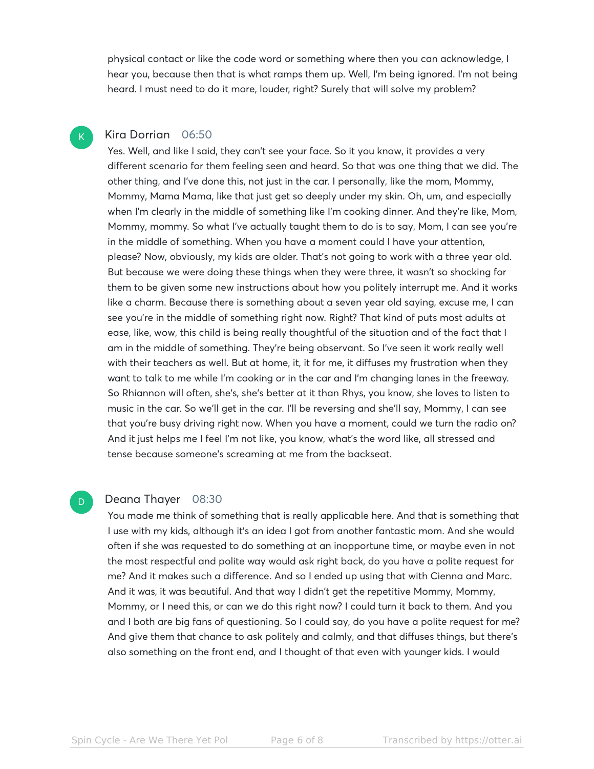physical contact or like the code word or something where then you can acknowledge, I hear you, because then that is what ramps them up. Well, I'm being ignored. I'm not being heard. I must need to do it more, louder, right? Surely that will solve my problem?

## Kira Dorrian 06:50

K

D

Yes. Well, and like I said, they can't see your face. So it you know, it provides a very different scenario for them feeling seen and heard. So that was one thing that we did. The other thing, and I've done this, not just in the car. I personally, like the mom, Mommy, Mommy, Mama Mama, like that just get so deeply under my skin. Oh, um, and especially when I'm clearly in the middle of something like I'm cooking dinner. And they're like, Mom, Mommy, mommy. So what I've actually taught them to do is to say, Mom, I can see you're in the middle of something. When you have a moment could I have your attention, please? Now, obviously, my kids are older. That's not going to work with a three year old. But because we were doing these things when they were three, it wasn't so shocking for them to be given some new instructions about how you politely interrupt me. And it works like a charm. Because there is something about a seven year old saying, excuse me, I can see you're in the middle of something right now. Right? That kind of puts most adults at ease, like, wow, this child is being really thoughtful of the situation and of the fact that I am in the middle of something. They're being observant. So I've seen it work really well with their teachers as well. But at home, it, it for me, it diffuses my frustration when they want to talk to me while I'm cooking or in the car and I'm changing lanes in the freeway. So Rhiannon will often, she's, she's better at it than Rhys, you know, she loves to listen to music in the car. So we'll get in the car. I'll be reversing and she'll say, Mommy, I can see that you're busy driving right now. When you have a moment, could we turn the radio on? And it just helps me I feel I'm not like, you know, what's the word like, all stressed and tense because someone's screaming at me from the backseat.

#### Deana Thayer 08:30

You made me think of something that is really applicable here. And that is something that I use with my kids, although it's an idea I got from another fantastic mom. And she would often if she was requested to do something at an inopportune time, or maybe even in not the most respectful and polite way would ask right back, do you have a polite request for me? And it makes such a difference. And so I ended up using that with Cienna and Marc. And it was, it was beautiful. And that way I didn't get the repetitive Mommy, Mommy, Mommy, or I need this, or can we do this right now? I could turn it back to them. And you and I both are big fans of questioning. So I could say, do you have a polite request for me? And give them that chance to ask politely and calmly, and that diffuses things, but there's also something on the front end, and I thought of that even with younger kids. I would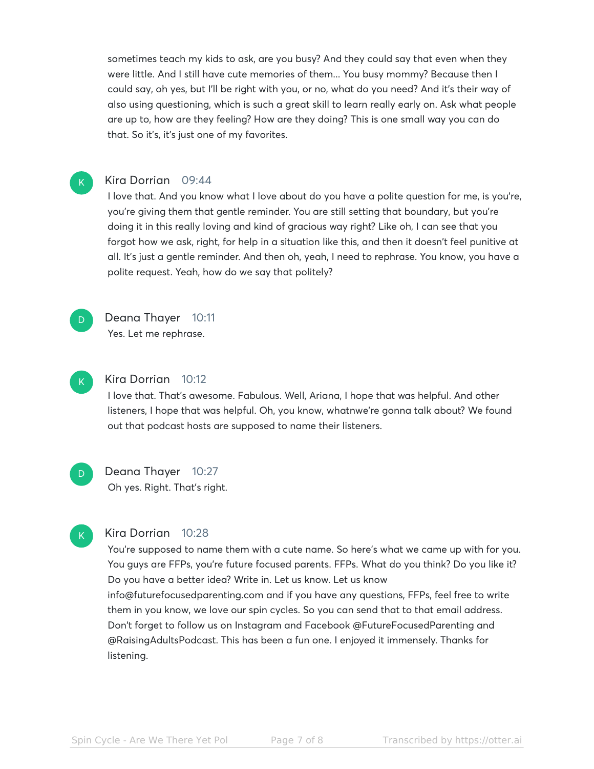sometimes teach my kids to ask, are you busy? And they could say that even when they were little. And I still have cute memories of them... You busy mommy? Because then I could say, oh yes, but I'll be right with you, or no, what do you need? And it's their way of also using questioning, which is such a great skill to learn really early on. Ask what people are up to, how are they feeling? How are they doing? This is one small way you can do that. So it's, it's just one of my favorites.

#### Kira Dorrian 09:44

I love that. And you know what I love about do you have a polite question for me, is you're, you're giving them that gentle reminder. You are still setting that boundary, but you're doing it in this really loving and kind of gracious way right? Like oh, I can see that you forgot how we ask, right, for help in a situation like this, and then it doesn't feel punitive at all. It's just a gentle reminder. And then oh, yeah, I need to rephrase. You know, you have a polite request. Yeah, how do we say that politely?



K

Deana Thayer 10:11 Yes. Let me rephrase.



D.

K

#### Kira Dorrian 10:12

I love that. That's awesome. Fabulous. Well, Ariana, I hope that was helpful. And other listeners, I hope that was helpful. Oh, you know, whatnwe're gonna talk about? We found out that podcast hosts are supposed to name their listeners.

Deana Thayer 10:27 Oh yes. Right. That's right.

## Kira Dorrian 10:28

You're supposed to name them with a cute name. So here's what we came up with for you. You guys are FFPs, you're future focused parents. FFPs. What do you think? Do you like it? Do you have a better idea? Write in. Let us know. Let us know info@futurefocusedparenting.com and if you have any questions, FFPs, feel free to write them in you know, we love our spin cycles. So you can send that to that email address. Don't forget to follow us on Instagram and Facebook @FutureFocusedParenting and @RaisingAdultsPodcast. This has been a fun one. I enjoyed it immensely. Thanks for listening.